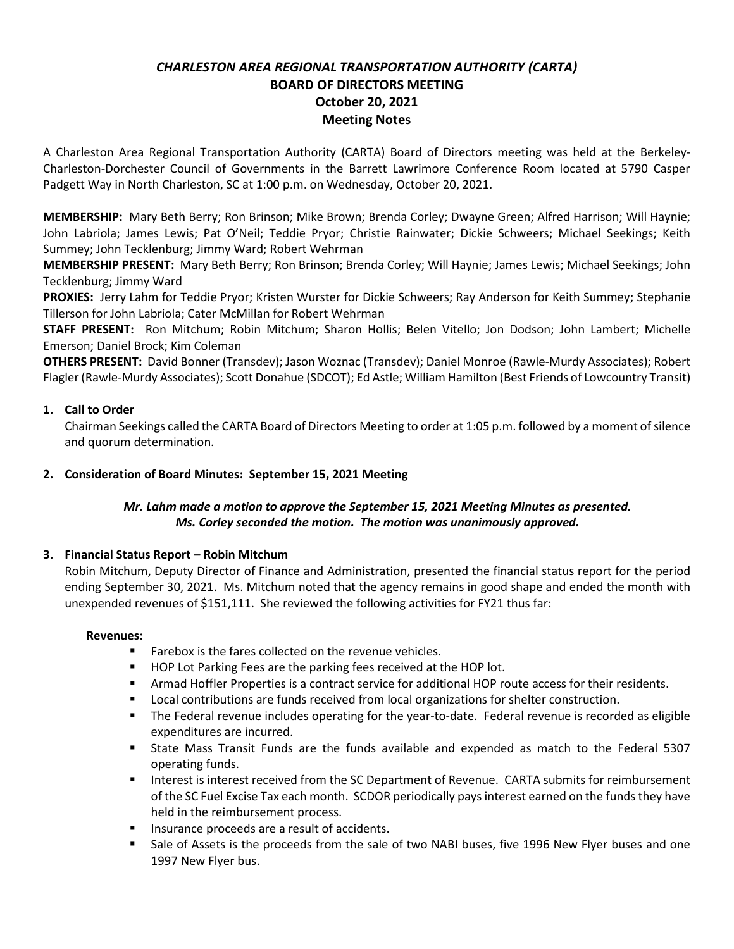# *CHARLESTON AREA REGIONAL TRANSPORTATION AUTHORITY (CARTA)* **BOARD OF DIRECTORS MEETING October 20, 2021 Meeting Notes**

A Charleston Area Regional Transportation Authority (CARTA) Board of Directors meeting was held at the Berkeley-Charleston-Dorchester Council of Governments in the Barrett Lawrimore Conference Room located at 5790 Casper Padgett Way in North Charleston, SC at 1:00 p.m. on Wednesday, October 20, 2021.

**MEMBERSHIP:** Mary Beth Berry; Ron Brinson; Mike Brown; Brenda Corley; Dwayne Green; Alfred Harrison; Will Haynie; John Labriola; James Lewis; Pat O'Neil; Teddie Pryor; Christie Rainwater; Dickie Schweers; Michael Seekings; Keith Summey; John Tecklenburg; Jimmy Ward; Robert Wehrman

**MEMBERSHIP PRESENT:** Mary Beth Berry; Ron Brinson; Brenda Corley; Will Haynie; James Lewis; Michael Seekings; John Tecklenburg; Jimmy Ward

**PROXIES:** Jerry Lahm for Teddie Pryor; Kristen Wurster for Dickie Schweers; Ray Anderson for Keith Summey; Stephanie Tillerson for John Labriola; Cater McMillan for Robert Wehrman

**STAFF PRESENT:** Ron Mitchum; Robin Mitchum; Sharon Hollis; Belen Vitello; Jon Dodson; John Lambert; Michelle Emerson; Daniel Brock; Kim Coleman

**OTHERS PRESENT:** David Bonner (Transdev); Jason Woznac (Transdev); Daniel Monroe (Rawle-Murdy Associates); Robert Flagler (Rawle-Murdy Associates); Scott Donahue (SDCOT); Ed Astle; William Hamilton (Best Friends of Lowcountry Transit)

## **1. Call to Order**

Chairman Seekings called the CARTA Board of Directors Meeting to order at 1:05 p.m. followed by a moment of silence and quorum determination.

### **2. Consideration of Board Minutes: September 15, 2021 Meeting**

### *Mr. Lahm made a motion to approve the September 15, 2021 Meeting Minutes as presented. Ms. Corley seconded the motion. The motion was unanimously approved.*

#### **3. Financial Status Report – Robin Mitchum**

Robin Mitchum, Deputy Director of Finance and Administration, presented the financial status report for the period ending September 30, 2021. Ms. Mitchum noted that the agency remains in good shape and ended the month with unexpended revenues of \$151,111. She reviewed the following activities for FY21 thus far:

#### **Revenues:**

- Farebox is the fares collected on the revenue vehicles.
- HOP Lot Parking Fees are the parking fees received at the HOP lot.
- **EXECT** Armad Hoffler Properties is a contract service for additional HOP route access for their residents.
- Local contributions are funds received from local organizations for shelter construction.
- The Federal revenue includes operating for the year-to-date. Federal revenue is recorded as eligible expenditures are incurred.
- State Mass Transit Funds are the funds available and expended as match to the Federal 5307 operating funds.
- Interest is interest received from the SC Department of Revenue. CARTA submits for reimbursement of the SC Fuel Excise Tax each month. SCDOR periodically pays interest earned on the funds they have held in the reimbursement process.
- Insurance proceeds are a result of accidents.
- Sale of Assets is the proceeds from the sale of two NABI buses, five 1996 New Flyer buses and one 1997 New Flyer bus.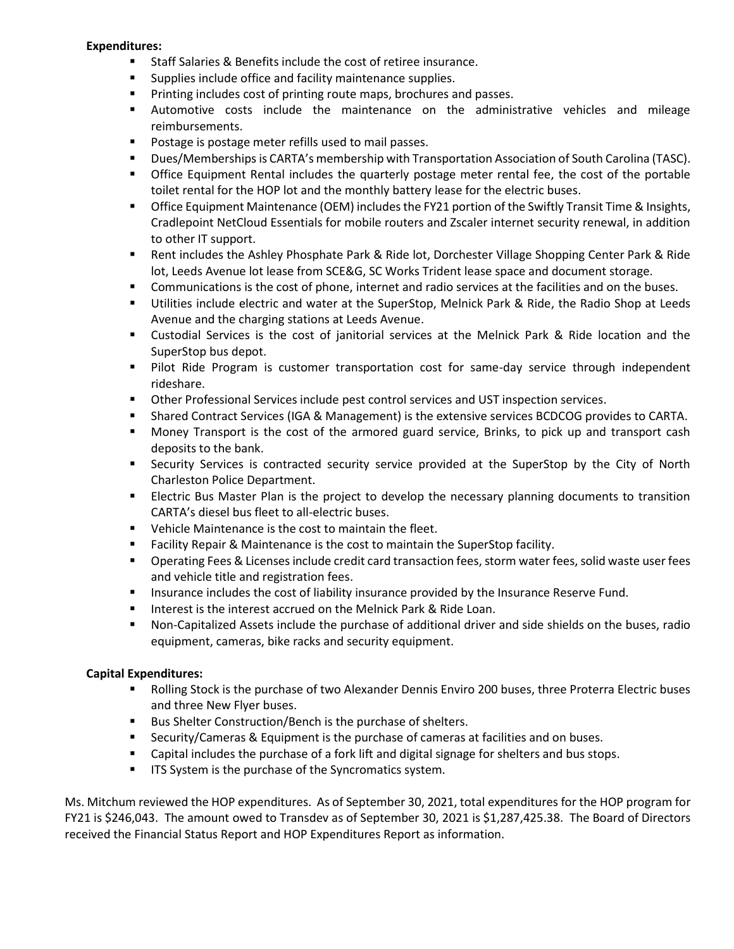#### **Expenditures:**

- Staff Salaries & Benefits include the cost of retiree insurance.
- Supplies include office and facility maintenance supplies.
- Printing includes cost of printing route maps, brochures and passes.
- Automotive costs include the maintenance on the administrative vehicles and mileage reimbursements.
- Postage is postage meter refills used to mail passes.
- Dues/Memberships is CARTA's membership with Transportation Association of South Carolina (TASC).
- **•** Office Equipment Rental includes the quarterly postage meter rental fee, the cost of the portable toilet rental for the HOP lot and the monthly battery lease for the electric buses.
- **Office Equipment Maintenance (OEM) includes the FY21 portion of the Swiftly Transit Time & Insights,** Cradlepoint NetCloud Essentials for mobile routers and Zscaler internet security renewal, in addition to other IT support.
- Rent includes the Ashley Phosphate Park & Ride lot, Dorchester Village Shopping Center Park & Ride lot, Leeds Avenue lot lease from SCE&G, SC Works Trident lease space and document storage.
- Communications is the cost of phone, internet and radio services at the facilities and on the buses.
- Utilities include electric and water at the SuperStop, Melnick Park & Ride, the Radio Shop at Leeds Avenue and the charging stations at Leeds Avenue.
- Custodial Services is the cost of janitorial services at the Melnick Park & Ride location and the SuperStop bus depot.
- Pilot Ride Program is customer transportation cost for same-day service through independent rideshare.
- **■** Other Professional Services include pest control services and UST inspection services.
- Shared Contract Services (IGA & Management) is the extensive services BCDCOG provides to CARTA.
- Money Transport is the cost of the armored guard service, Brinks, to pick up and transport cash deposits to the bank.
- Security Services is contracted security service provided at the SuperStop by the City of North Charleston Police Department.
- **EXECT ELECT FIGUS** Electric Bus Master Plan is the project to develop the necessary planning documents to transition CARTA's diesel bus fleet to all-electric buses.
- Vehicle Maintenance is the cost to maintain the fleet.
- Facility Repair & Maintenance is the cost to maintain the SuperStop facility.
- Operating Fees & Licenses include credit card transaction fees, storm water fees, solid waste user fees and vehicle title and registration fees.
- **■** Insurance includes the cost of liability insurance provided by the Insurance Reserve Fund.
- Interest is the interest accrued on the Melnick Park & Ride Loan.
- Non-Capitalized Assets include the purchase of additional driver and side shields on the buses, radio equipment, cameras, bike racks and security equipment.

#### **Capital Expenditures:**

- Rolling Stock is the purchase of two Alexander Dennis Enviro 200 buses, three Proterra Electric buses and three New Flyer buses.
- Bus Shelter Construction/Bench is the purchase of shelters.
- Security/Cameras & Equipment is the purchase of cameras at facilities and on buses.
- Capital includes the purchase of a fork lift and digital signage for shelters and bus stops.
- **■** ITS System is the purchase of the Syncromatics system.

Ms. Mitchum reviewed the HOP expenditures. As of September 30, 2021, total expenditures for the HOP program for FY21 is \$246,043. The amount owed to Transdev as of September 30, 2021 is \$1,287,425.38. The Board of Directors received the Financial Status Report and HOP Expenditures Report as information.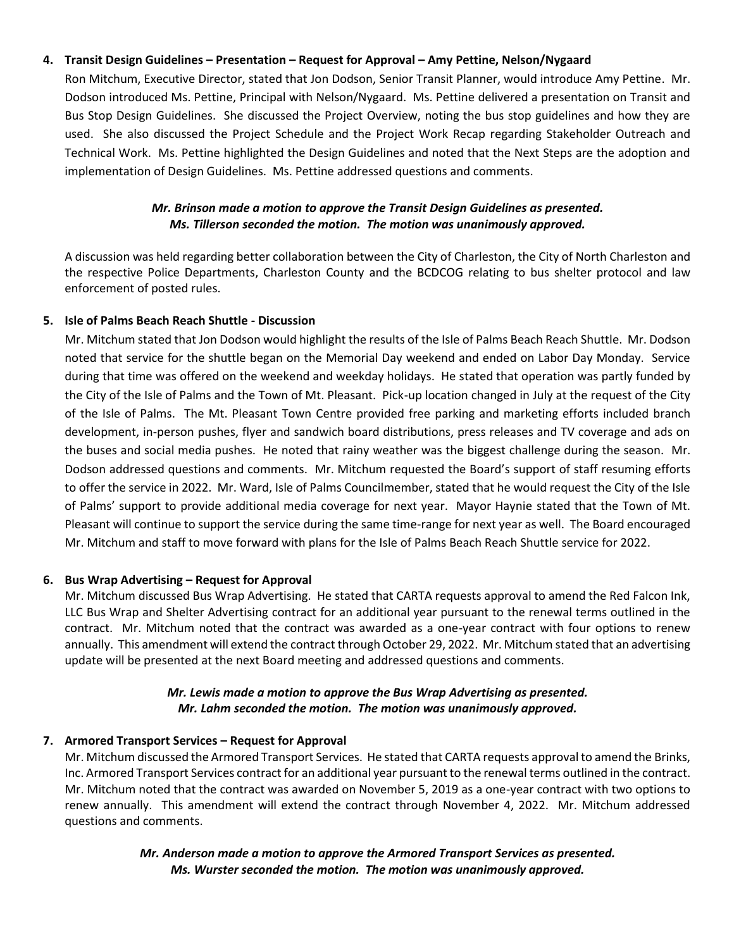### **4. Transit Design Guidelines – Presentation – Request for Approval – Amy Pettine, Nelson/Nygaard**

Ron Mitchum, Executive Director, stated that Jon Dodson, Senior Transit Planner, would introduce Amy Pettine. Mr. Dodson introduced Ms. Pettine, Principal with Nelson/Nygaard. Ms. Pettine delivered a presentation on Transit and Bus Stop Design Guidelines. She discussed the Project Overview, noting the bus stop guidelines and how they are used. She also discussed the Project Schedule and the Project Work Recap regarding Stakeholder Outreach and Technical Work. Ms. Pettine highlighted the Design Guidelines and noted that the Next Steps are the adoption and implementation of Design Guidelines. Ms. Pettine addressed questions and comments.

### *Mr. Brinson made a motion to approve the Transit Design Guidelines as presented. Ms. Tillerson seconded the motion. The motion was unanimously approved.*

A discussion was held regarding better collaboration between the City of Charleston, the City of North Charleston and the respective Police Departments, Charleston County and the BCDCOG relating to bus shelter protocol and law enforcement of posted rules.

### **5. Isle of Palms Beach Reach Shuttle - Discussion**

Mr. Mitchum stated that Jon Dodson would highlight the results of the Isle of Palms Beach Reach Shuttle. Mr. Dodson noted that service for the shuttle began on the Memorial Day weekend and ended on Labor Day Monday. Service during that time was offered on the weekend and weekday holidays. He stated that operation was partly funded by the City of the Isle of Palms and the Town of Mt. Pleasant. Pick-up location changed in July at the request of the City of the Isle of Palms. The Mt. Pleasant Town Centre provided free parking and marketing efforts included branch development, in-person pushes, flyer and sandwich board distributions, press releases and TV coverage and ads on the buses and social media pushes. He noted that rainy weather was the biggest challenge during the season. Mr. Dodson addressed questions and comments. Mr. Mitchum requested the Board's support of staff resuming efforts to offer the service in 2022. Mr. Ward, Isle of Palms Councilmember, stated that he would request the City of the Isle of Palms' support to provide additional media coverage for next year. Mayor Haynie stated that the Town of Mt. Pleasant will continue to support the service during the same time-range for next year as well. The Board encouraged Mr. Mitchum and staff to move forward with plans for the Isle of Palms Beach Reach Shuttle service for 2022.

#### **6. Bus Wrap Advertising – Request for Approval**

Mr. Mitchum discussed Bus Wrap Advertising. He stated that CARTA requests approval to amend the Red Falcon Ink, LLC Bus Wrap and Shelter Advertising contract for an additional year pursuant to the renewal terms outlined in the contract. Mr. Mitchum noted that the contract was awarded as a one-year contract with four options to renew annually. This amendment will extend the contract through October 29, 2022. Mr. Mitchum stated that an advertising update will be presented at the next Board meeting and addressed questions and comments.

### *Mr. Lewis made a motion to approve the Bus Wrap Advertising as presented. Mr. Lahm seconded the motion. The motion was unanimously approved.*

## **7. Armored Transport Services – Request for Approval**

Mr. Mitchum discussed the Armored Transport Services. He stated that CARTA requests approval to amend the Brinks, Inc. Armored Transport Services contract for an additional year pursuant to the renewal terms outlined in the contract. Mr. Mitchum noted that the contract was awarded on November 5, 2019 as a one-year contract with two options to renew annually. This amendment will extend the contract through November 4, 2022. Mr. Mitchum addressed questions and comments.

> *Mr. Anderson made a motion to approve the Armored Transport Services as presented. Ms. Wurster seconded the motion. The motion was unanimously approved.*